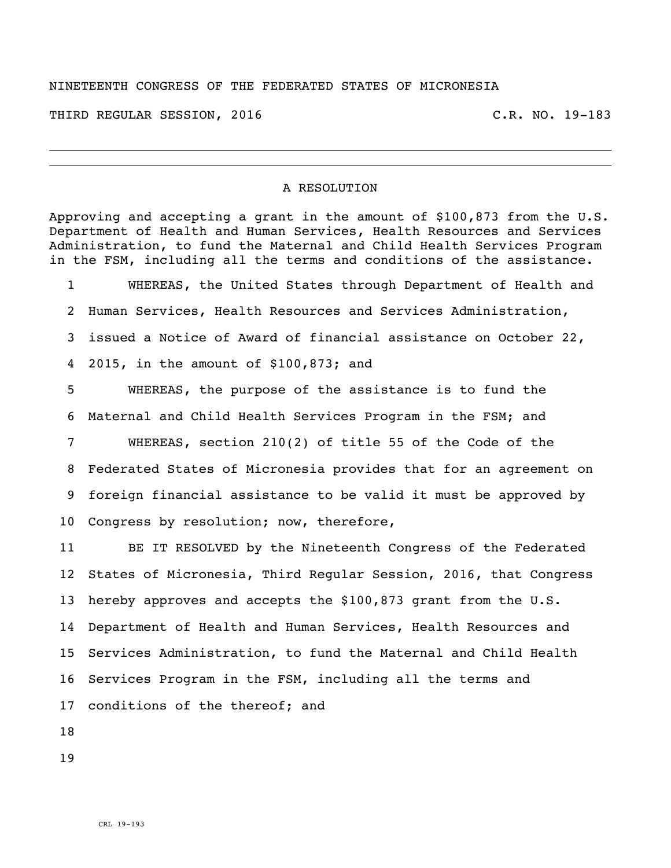## NINETEENTH CONGRESS OF THE FEDERATED STATES OF MICRONESIA

THIRD REGULAR SESSION, 2016 C.R. NO. 19-183

## A RESOLUTION

Approving and accepting a grant in the amount of  $$100,873$  from the U.S. Department of Health and Human Services, Health Resources and Services Administration, to fund the Maternal and Child Health Services Program in the FSM, including all the terms and conditions of the assistance.

 WHEREAS, the United States through Department of Health and Human Services, Health Resources and Services Administration, issued a Notice of Award of financial assistance on October 22, 2015, in the amount of \$100,873; and

 WHEREAS, the purpose of the assistance is to fund the Maternal and Child Health Services Program in the FSM; and

 WHEREAS, section 210(2) of title 55 of the Code of the Federated States of Micronesia provides that for an agreement on foreign financial assistance to be valid it must be approved by Congress by resolution; now, therefore,

 BE IT RESOLVED by the Nineteenth Congress of the Federated States of Micronesia, Third Regular Session, 2016, that Congress 13 hereby approves and accepts the \$100,873 grant from the U.S. Department of Health and Human Services, Health Resources and Services Administration, to fund the Maternal and Child Health Services Program in the FSM, including all the terms and conditions of the thereof; and